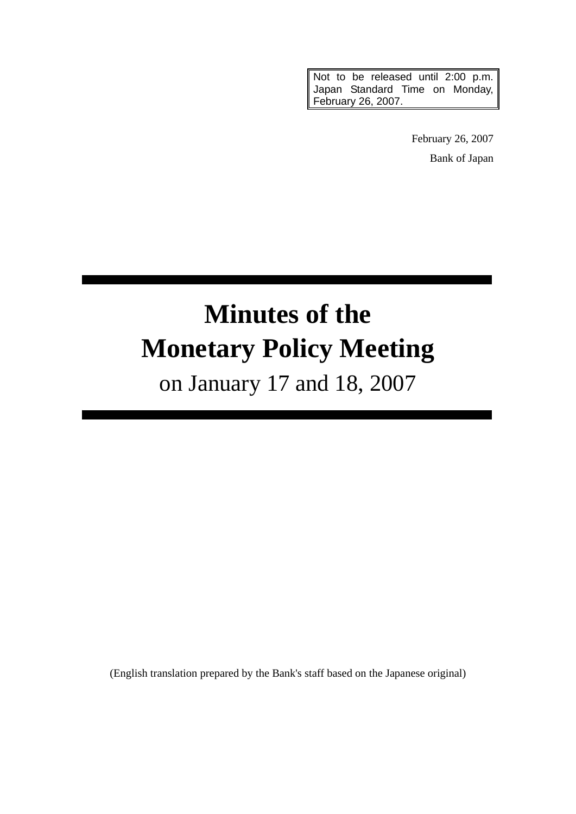Not to be released until 2:00 p.m. Japan Standard Time on Monday, February 26, 2007.

> February 26, 2007 Bank of Japan

# **Minutes of the Monetary Policy Meeting**

on January 17 and 18, 2007

(English translation prepared by the Bank's staff based on the Japanese original)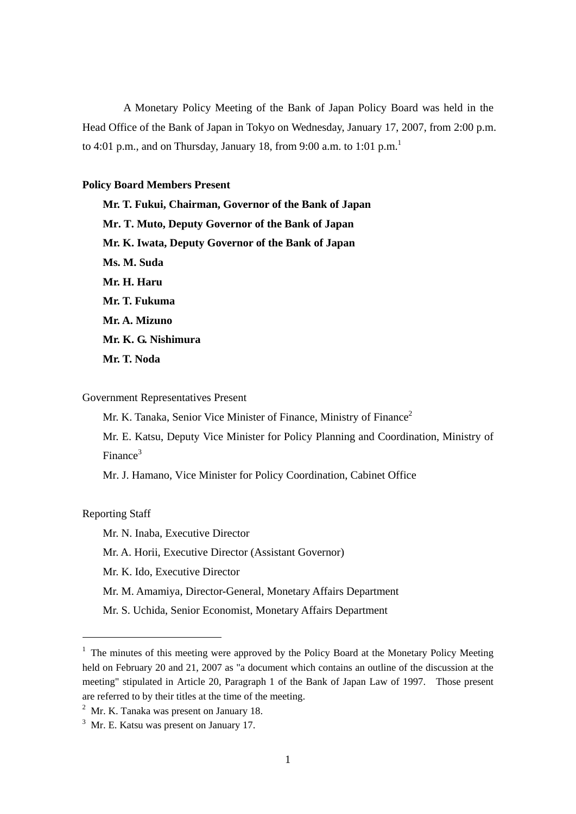A Monetary Policy Meeting of the Bank of Japan Policy Board was held in the Head Office of the Bank of Japan in Tokyo on Wednesday, January 17, 2007, from 2:00 p.m. to 4:01 p.m., and on Thursday, January 18, from 9:00 a.m. to 1:01 p.m.<sup>1</sup>

# **Policy Board Members Present**

**Mr. T. Fukui, Chairman, Governor of the Bank of Japan Mr. T. Muto, Deputy Governor of the Bank of Japan Mr. K. Iwata, Deputy Governor of the Bank of Japan Ms. M. Suda Mr. H. Haru Mr. T. Fukuma Mr. A. Mizuno Mr. K. G. Nishimura Mr. T. Noda** 

# Government Representatives Present

Mr. K. Tanaka, Senior Vice Minister of Finance, Ministry of Finance<sup>2</sup>

Mr. E. Katsu, Deputy Vice Minister for Policy Planning and Coordination, Ministry of Finance3

Mr. J. Hamano, Vice Minister for Policy Coordination, Cabinet Office

Reporting Staff

-

Mr. N. Inaba, Executive Director

Mr. A. Horii, Executive Director (Assistant Governor)

Mr. K. Ido, Executive Director

- Mr. M. Amamiya, Director-General, Monetary Affairs Department
- Mr. S. Uchida, Senior Economist, Monetary Affairs Department

 $<sup>1</sup>$  The minutes of this meeting were approved by the Policy Board at the Monetary Policy Meeting</sup> held on February 20 and 21, 2007 as "a document which contains an outline of the discussion at the meeting" stipulated in Article 20, Paragraph 1 of the Bank of Japan Law of 1997. Those present are referred to by their titles at the time of the meeting.

 $2$  Mr. K. Tanaka was present on January 18.

 $3$  Mr. E. Katsu was present on January 17.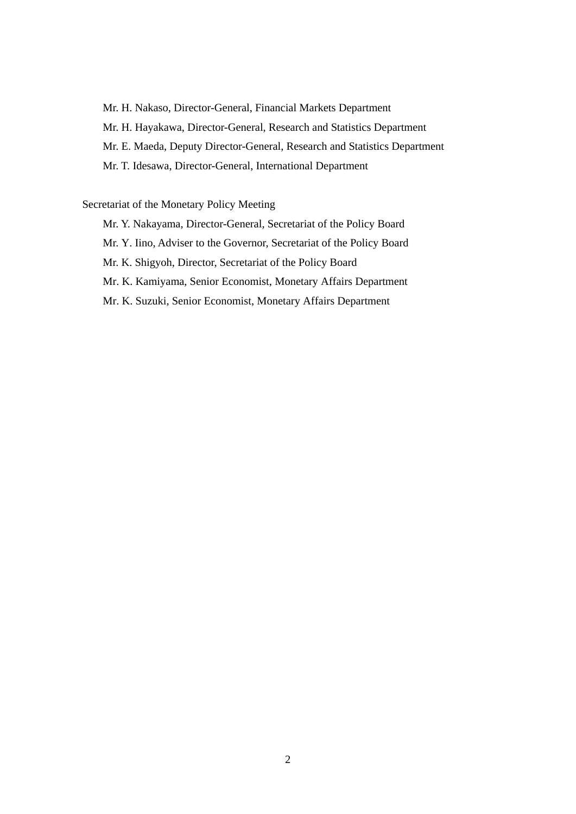Mr. H. Nakaso, Director-General, Financial Markets Department

Mr. H. Hayakawa, Director-General, Research and Statistics Department

Mr. E. Maeda, Deputy Director-General, Research and Statistics Department

Mr. T. Idesawa, Director-General, International Department

# Secretariat of the Monetary Policy Meeting

Mr. Y. Nakayama, Director-General, Secretariat of the Policy Board

Mr. Y. Iino, Adviser to the Governor, Secretariat of the Policy Board

Mr. K. Shigyoh, Director, Secretariat of the Policy Board

Mr. K. Kamiyama, Senior Economist, Monetary Affairs Department

Mr. K. Suzuki, Senior Economist, Monetary Affairs Department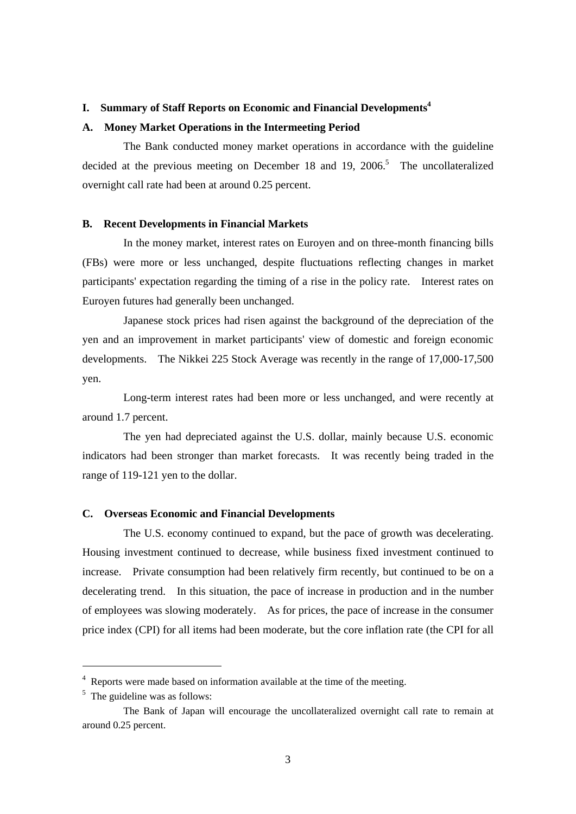# **I. Summary of Staff Reports on Economic and Financial Developments4**

#### **A. Money Market Operations in the Intermeeting Period**

The Bank conducted money market operations in accordance with the guideline decided at the previous meeting on December 18 and 19, 2006.<sup>5</sup> The uncollateralized overnight call rate had been at around 0.25 percent.

# **B. Recent Developments in Financial Markets**

In the money market, interest rates on Euroyen and on three-month financing bills (FBs) were more or less unchanged, despite fluctuations reflecting changes in market participants' expectation regarding the timing of a rise in the policy rate. Interest rates on Euroyen futures had generally been unchanged.

Japanese stock prices had risen against the background of the depreciation of the yen and an improvement in market participants' view of domestic and foreign economic developments. The Nikkei 225 Stock Average was recently in the range of 17,000-17,500 yen.

Long-term interest rates had been more or less unchanged, and were recently at around 1.7 percent.

The yen had depreciated against the U.S. dollar, mainly because U.S. economic indicators had been stronger than market forecasts. It was recently being traded in the range of 119-121 yen to the dollar.

## **C. Overseas Economic and Financial Developments**

The U.S. economy continued to expand, but the pace of growth was decelerating. Housing investment continued to decrease, while business fixed investment continued to increase. Private consumption had been relatively firm recently, but continued to be on a decelerating trend. In this situation, the pace of increase in production and in the number of employees was slowing moderately. As for prices, the pace of increase in the consumer price index (CPI) for all items had been moderate, but the core inflation rate (the CPI for all

-

<sup>&</sup>lt;sup>4</sup> Reports were made based on information available at the time of the meeting.

<sup>&</sup>lt;sup>5</sup> The guideline was as follows:

The Bank of Japan will encourage the uncollateralized overnight call rate to remain at around 0.25 percent.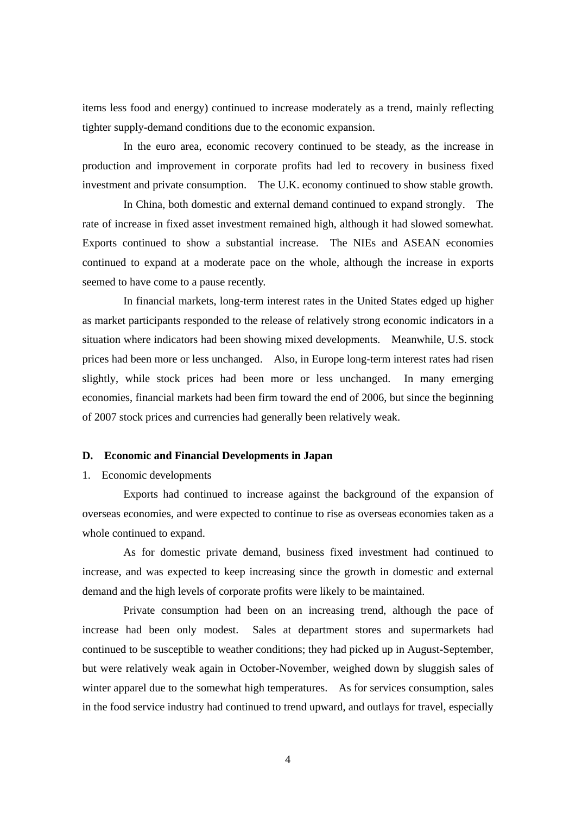items less food and energy) continued to increase moderately as a trend, mainly reflecting tighter supply-demand conditions due to the economic expansion.

In the euro area, economic recovery continued to be steady, as the increase in production and improvement in corporate profits had led to recovery in business fixed investment and private consumption. The U.K. economy continued to show stable growth.

In China, both domestic and external demand continued to expand strongly. The rate of increase in fixed asset investment remained high, although it had slowed somewhat. Exports continued to show a substantial increase. The NIEs and ASEAN economies continued to expand at a moderate pace on the whole, although the increase in exports seemed to have come to a pause recently.

In financial markets, long-term interest rates in the United States edged up higher as market participants responded to the release of relatively strong economic indicators in a situation where indicators had been showing mixed developments. Meanwhile, U.S. stock prices had been more or less unchanged. Also, in Europe long-term interest rates had risen slightly, while stock prices had been more or less unchanged. In many emerging economies, financial markets had been firm toward the end of 2006, but since the beginning of 2007 stock prices and currencies had generally been relatively weak.

## **D. Economic and Financial Developments in Japan**

## 1. Economic developments

Exports had continued to increase against the background of the expansion of overseas economies, and were expected to continue to rise as overseas economies taken as a whole continued to expand.

As for domestic private demand, business fixed investment had continued to increase, and was expected to keep increasing since the growth in domestic and external demand and the high levels of corporate profits were likely to be maintained.

Private consumption had been on an increasing trend, although the pace of increase had been only modest. Sales at department stores and supermarkets had continued to be susceptible to weather conditions; they had picked up in August-September, but were relatively weak again in October-November, weighed down by sluggish sales of winter apparel due to the somewhat high temperatures. As for services consumption, sales in the food service industry had continued to trend upward, and outlays for travel, especially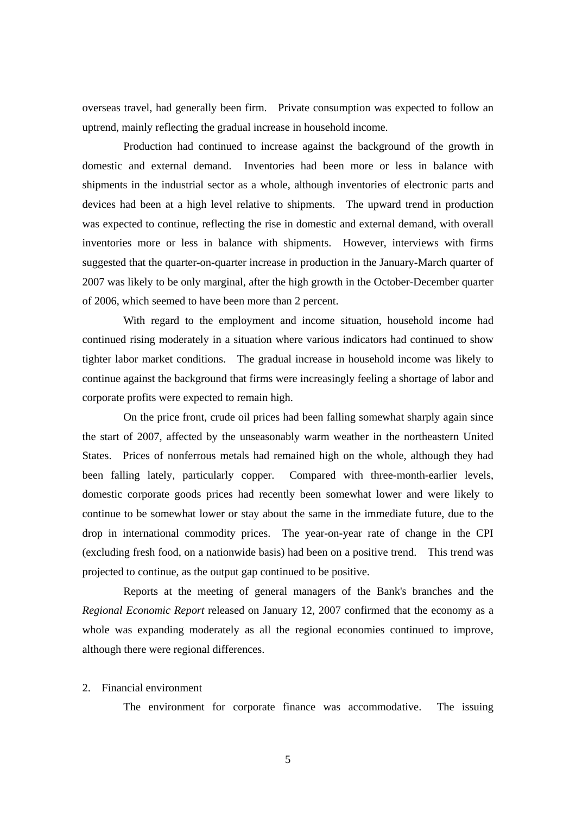overseas travel, had generally been firm. Private consumption was expected to follow an uptrend, mainly reflecting the gradual increase in household income.

Production had continued to increase against the background of the growth in domestic and external demand. Inventories had been more or less in balance with shipments in the industrial sector as a whole, although inventories of electronic parts and devices had been at a high level relative to shipments. The upward trend in production was expected to continue, reflecting the rise in domestic and external demand, with overall inventories more or less in balance with shipments. However, interviews with firms suggested that the quarter-on-quarter increase in production in the January-March quarter of 2007 was likely to be only marginal, after the high growth in the October-December quarter of 2006, which seemed to have been more than 2 percent.

With regard to the employment and income situation, household income had continued rising moderately in a situation where various indicators had continued to show tighter labor market conditions. The gradual increase in household income was likely to continue against the background that firms were increasingly feeling a shortage of labor and corporate profits were expected to remain high.

On the price front, crude oil prices had been falling somewhat sharply again since the start of 2007, affected by the unseasonably warm weather in the northeastern United States. Prices of nonferrous metals had remained high on the whole, although they had been falling lately, particularly copper. Compared with three-month-earlier levels, domestic corporate goods prices had recently been somewhat lower and were likely to continue to be somewhat lower or stay about the same in the immediate future, due to the drop in international commodity prices. The year-on-year rate of change in the CPI (excluding fresh food, on a nationwide basis) had been on a positive trend. This trend was projected to continue, as the output gap continued to be positive.

Reports at the meeting of general managers of the Bank's branches and the *Regional Economic Report* released on January 12, 2007 confirmed that the economy as a whole was expanding moderately as all the regional economies continued to improve, although there were regional differences.

## 2. Financial environment

The environment for corporate finance was accommodative. The issuing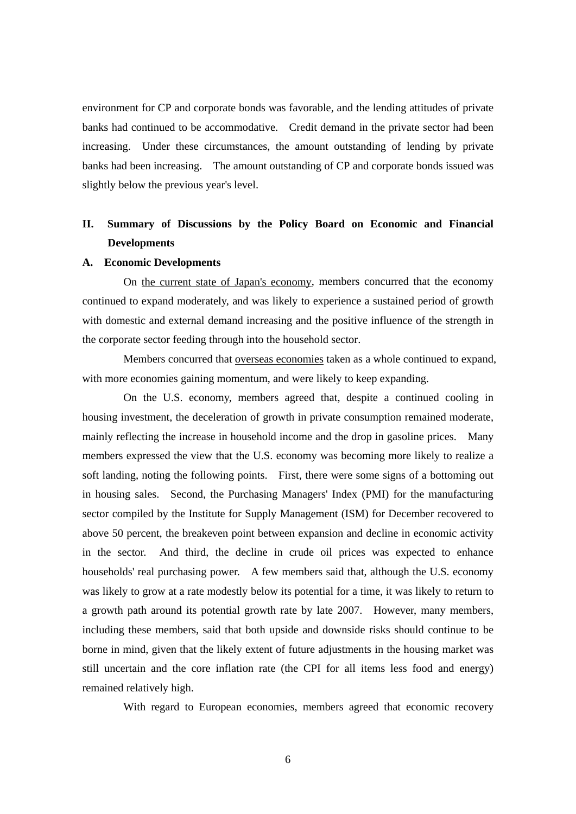environment for CP and corporate bonds was favorable, and the lending attitudes of private banks had continued to be accommodative. Credit demand in the private sector had been increasing. Under these circumstances, the amount outstanding of lending by private banks had been increasing. The amount outstanding of CP and corporate bonds issued was slightly below the previous year's level.

# **II. Summary of Discussions by the Policy Board on Economic and Financial Developments**

## **A. Economic Developments**

On the current state of Japan's economy, members concurred that the economy continued to expand moderately, and was likely to experience a sustained period of growth with domestic and external demand increasing and the positive influence of the strength in the corporate sector feeding through into the household sector.

Members concurred that overseas economies taken as a whole continued to expand, with more economies gaining momentum, and were likely to keep expanding.

On the U.S. economy, members agreed that, despite a continued cooling in housing investment, the deceleration of growth in private consumption remained moderate, mainly reflecting the increase in household income and the drop in gasoline prices. Many members expressed the view that the U.S. economy was becoming more likely to realize a soft landing, noting the following points. First, there were some signs of a bottoming out in housing sales. Second, the Purchasing Managers' Index (PMI) for the manufacturing sector compiled by the Institute for Supply Management (ISM) for December recovered to above 50 percent, the breakeven point between expansion and decline in economic activity in the sector. And third, the decline in crude oil prices was expected to enhance households' real purchasing power. A few members said that, although the U.S. economy was likely to grow at a rate modestly below its potential for a time, it was likely to return to a growth path around its potential growth rate by late 2007. However, many members, including these members, said that both upside and downside risks should continue to be borne in mind, given that the likely extent of future adjustments in the housing market was still uncertain and the core inflation rate (the CPI for all items less food and energy) remained relatively high.

With regard to European economies, members agreed that economic recovery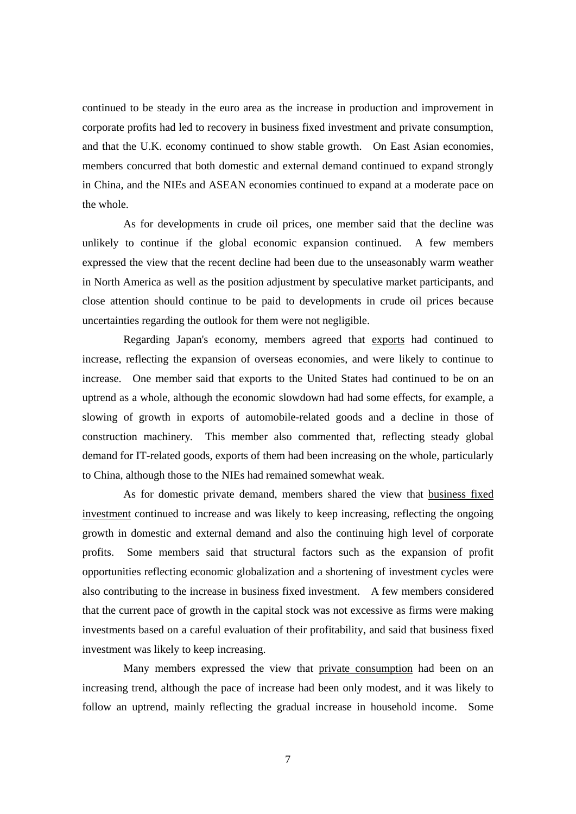continued to be steady in the euro area as the increase in production and improvement in corporate profits had led to recovery in business fixed investment and private consumption, and that the U.K. economy continued to show stable growth. On East Asian economies, members concurred that both domestic and external demand continued to expand strongly in China, and the NIEs and ASEAN economies continued to expand at a moderate pace on the whole.

As for developments in crude oil prices, one member said that the decline was unlikely to continue if the global economic expansion continued. A few members expressed the view that the recent decline had been due to the unseasonably warm weather in North America as well as the position adjustment by speculative market participants, and close attention should continue to be paid to developments in crude oil prices because uncertainties regarding the outlook for them were not negligible.

Regarding Japan's economy, members agreed that exports had continued to increase, reflecting the expansion of overseas economies, and were likely to continue to increase. One member said that exports to the United States had continued to be on an uptrend as a whole, although the economic slowdown had had some effects, for example, a slowing of growth in exports of automobile-related goods and a decline in those of construction machinery. This member also commented that, reflecting steady global demand for IT-related goods, exports of them had been increasing on the whole, particularly to China, although those to the NIEs had remained somewhat weak.

As for domestic private demand, members shared the view that business fixed investment continued to increase and was likely to keep increasing, reflecting the ongoing growth in domestic and external demand and also the continuing high level of corporate profits. Some members said that structural factors such as the expansion of profit opportunities reflecting economic globalization and a shortening of investment cycles were also contributing to the increase in business fixed investment. A few members considered that the current pace of growth in the capital stock was not excessive as firms were making investments based on a careful evaluation of their profitability, and said that business fixed investment was likely to keep increasing.

Many members expressed the view that private consumption had been on an increasing trend, although the pace of increase had been only modest, and it was likely to follow an uptrend, mainly reflecting the gradual increase in household income. Some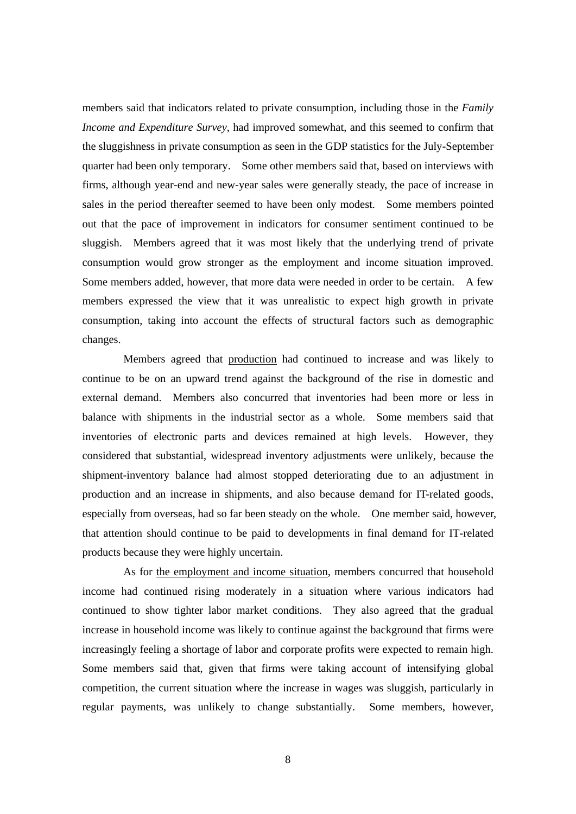members said that indicators related to private consumption, including those in the *Family Income and Expenditure Survey*, had improved somewhat, and this seemed to confirm that the sluggishness in private consumption as seen in the GDP statistics for the July-September quarter had been only temporary. Some other members said that, based on interviews with firms, although year-end and new-year sales were generally steady, the pace of increase in sales in the period thereafter seemed to have been only modest. Some members pointed out that the pace of improvement in indicators for consumer sentiment continued to be sluggish. Members agreed that it was most likely that the underlying trend of private consumption would grow stronger as the employment and income situation improved. Some members added, however, that more data were needed in order to be certain. A few members expressed the view that it was unrealistic to expect high growth in private consumption, taking into account the effects of structural factors such as demographic changes.

Members agreed that production had continued to increase and was likely to continue to be on an upward trend against the background of the rise in domestic and external demand. Members also concurred that inventories had been more or less in balance with shipments in the industrial sector as a whole. Some members said that inventories of electronic parts and devices remained at high levels. However, they considered that substantial, widespread inventory adjustments were unlikely, because the shipment-inventory balance had almost stopped deteriorating due to an adjustment in production and an increase in shipments, and also because demand for IT-related goods, especially from overseas, had so far been steady on the whole. One member said, however, that attention should continue to be paid to developments in final demand for IT-related products because they were highly uncertain.

As for the employment and income situation, members concurred that household income had continued rising moderately in a situation where various indicators had continued to show tighter labor market conditions. They also agreed that the gradual increase in household income was likely to continue against the background that firms were increasingly feeling a shortage of labor and corporate profits were expected to remain high. Some members said that, given that firms were taking account of intensifying global competition, the current situation where the increase in wages was sluggish, particularly in regular payments, was unlikely to change substantially. Some members, however,

8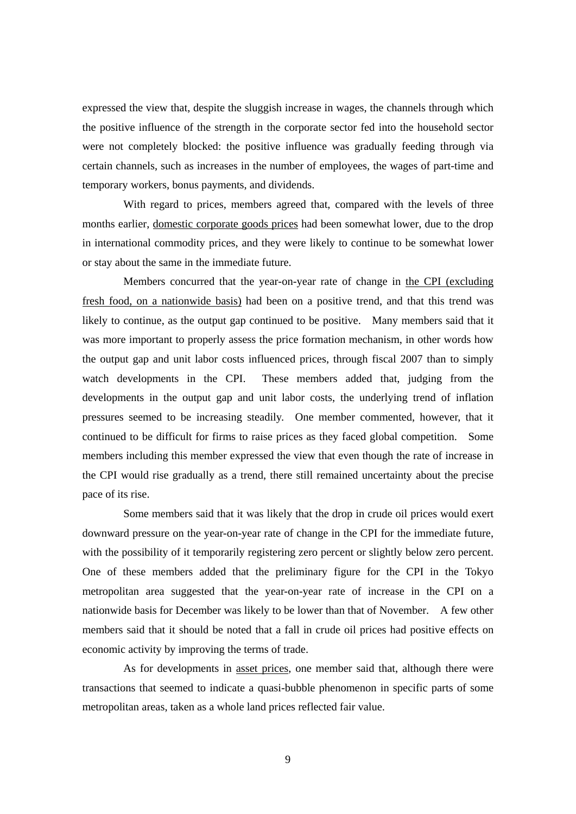expressed the view that, despite the sluggish increase in wages, the channels through which the positive influence of the strength in the corporate sector fed into the household sector were not completely blocked: the positive influence was gradually feeding through via certain channels, such as increases in the number of employees, the wages of part-time and temporary workers, bonus payments, and dividends.

With regard to prices, members agreed that, compared with the levels of three months earlier, domestic corporate goods prices had been somewhat lower, due to the drop in international commodity prices, and they were likely to continue to be somewhat lower or stay about the same in the immediate future.

Members concurred that the year-on-year rate of change in the CPI (excluding fresh food, on a nationwide basis) had been on a positive trend, and that this trend was likely to continue, as the output gap continued to be positive. Many members said that it was more important to properly assess the price formation mechanism, in other words how the output gap and unit labor costs influenced prices, through fiscal 2007 than to simply watch developments in the CPI. These members added that, judging from the developments in the output gap and unit labor costs, the underlying trend of inflation pressures seemed to be increasing steadily. One member commented, however, that it continued to be difficult for firms to raise prices as they faced global competition. Some members including this member expressed the view that even though the rate of increase in the CPI would rise gradually as a trend, there still remained uncertainty about the precise pace of its rise.

Some members said that it was likely that the drop in crude oil prices would exert downward pressure on the year-on-year rate of change in the CPI for the immediate future, with the possibility of it temporarily registering zero percent or slightly below zero percent. One of these members added that the preliminary figure for the CPI in the Tokyo metropolitan area suggested that the year-on-year rate of increase in the CPI on a nationwide basis for December was likely to be lower than that of November. A few other members said that it should be noted that a fall in crude oil prices had positive effects on economic activity by improving the terms of trade.

As for developments in asset prices, one member said that, although there were transactions that seemed to indicate a quasi-bubble phenomenon in specific parts of some metropolitan areas, taken as a whole land prices reflected fair value.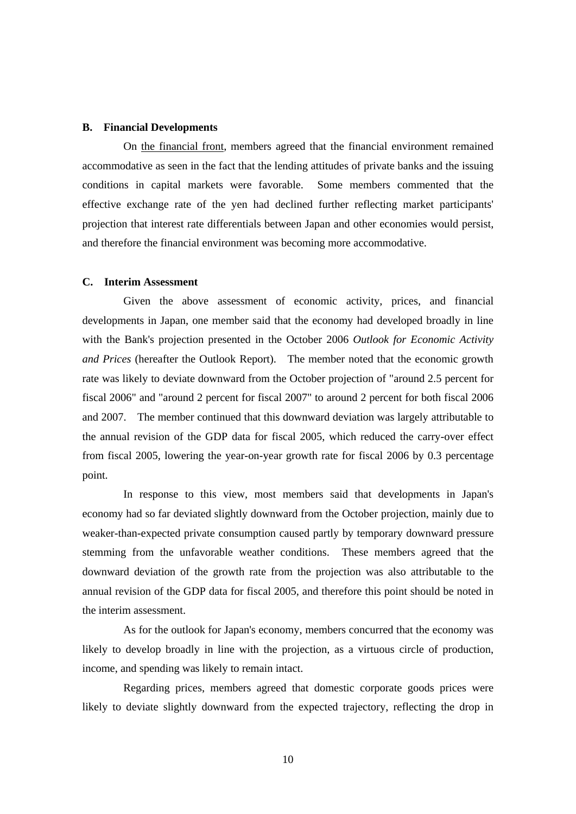## **B. Financial Developments**

On the financial front, members agreed that the financial environment remained accommodative as seen in the fact that the lending attitudes of private banks and the issuing conditions in capital markets were favorable. Some members commented that the effective exchange rate of the yen had declined further reflecting market participants' projection that interest rate differentials between Japan and other economies would persist, and therefore the financial environment was becoming more accommodative.

# **C. Interim Assessment**

Given the above assessment of economic activity, prices, and financial developments in Japan, one member said that the economy had developed broadly in line with the Bank's projection presented in the October 2006 *Outlook for Economic Activity and Prices* (hereafter the Outlook Report). The member noted that the economic growth rate was likely to deviate downward from the October projection of "around 2.5 percent for fiscal 2006" and "around 2 percent for fiscal 2007" to around 2 percent for both fiscal 2006 and 2007. The member continued that this downward deviation was largely attributable to the annual revision of the GDP data for fiscal 2005, which reduced the carry-over effect from fiscal 2005, lowering the year-on-year growth rate for fiscal 2006 by 0.3 percentage point.

In response to this view, most members said that developments in Japan's economy had so far deviated slightly downward from the October projection, mainly due to weaker-than-expected private consumption caused partly by temporary downward pressure stemming from the unfavorable weather conditions. These members agreed that the downward deviation of the growth rate from the projection was also attributable to the annual revision of the GDP data for fiscal 2005, and therefore this point should be noted in the interim assessment.

As for the outlook for Japan's economy, members concurred that the economy was likely to develop broadly in line with the projection, as a virtuous circle of production, income, and spending was likely to remain intact.

Regarding prices, members agreed that domestic corporate goods prices were likely to deviate slightly downward from the expected trajectory, reflecting the drop in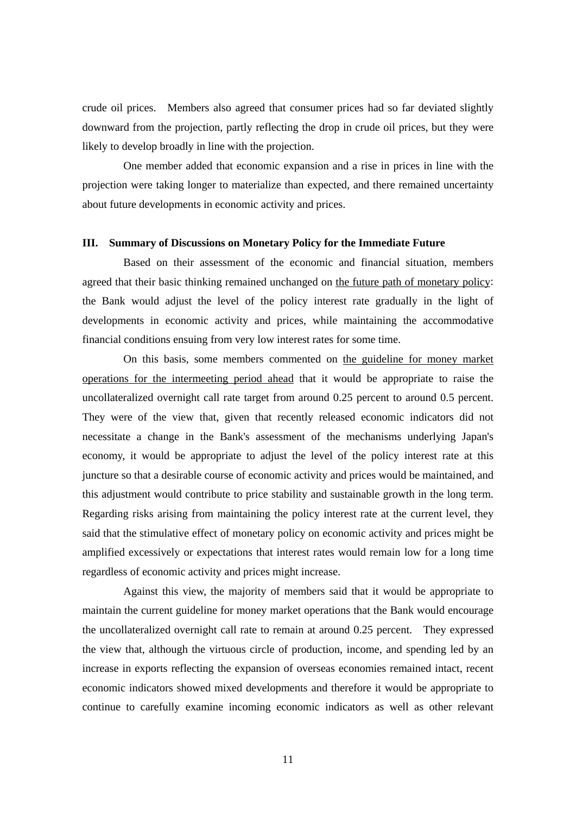crude oil prices. Members also agreed that consumer prices had so far deviated slightly downward from the projection, partly reflecting the drop in crude oil prices, but they were likely to develop broadly in line with the projection.

One member added that economic expansion and a rise in prices in line with the projection were taking longer to materialize than expected, and there remained uncertainty about future developments in economic activity and prices.

## **III. Summary of Discussions on Monetary Policy for the Immediate Future**

Based on their assessment of the economic and financial situation, members agreed that their basic thinking remained unchanged on the future path of monetary policy: the Bank would adjust the level of the policy interest rate gradually in the light of developments in economic activity and prices, while maintaining the accommodative financial conditions ensuing from very low interest rates for some time.

On this basis, some members commented on the guideline for money market operations for the intermeeting period ahead that it would be appropriate to raise the uncollateralized overnight call rate target from around 0.25 percent to around 0.5 percent. They were of the view that, given that recently released economic indicators did not necessitate a change in the Bank's assessment of the mechanisms underlying Japan's economy, it would be appropriate to adjust the level of the policy interest rate at this juncture so that a desirable course of economic activity and prices would be maintained, and this adjustment would contribute to price stability and sustainable growth in the long term. Regarding risks arising from maintaining the policy interest rate at the current level, they said that the stimulative effect of monetary policy on economic activity and prices might be amplified excessively or expectations that interest rates would remain low for a long time regardless of economic activity and prices might increase.

Against this view, the majority of members said that it would be appropriate to maintain the current guideline for money market operations that the Bank would encourage the uncollateralized overnight call rate to remain at around 0.25 percent. They expressed the view that, although the virtuous circle of production, income, and spending led by an increase in exports reflecting the expansion of overseas economies remained intact, recent economic indicators showed mixed developments and therefore it would be appropriate to continue to carefully examine incoming economic indicators as well as other relevant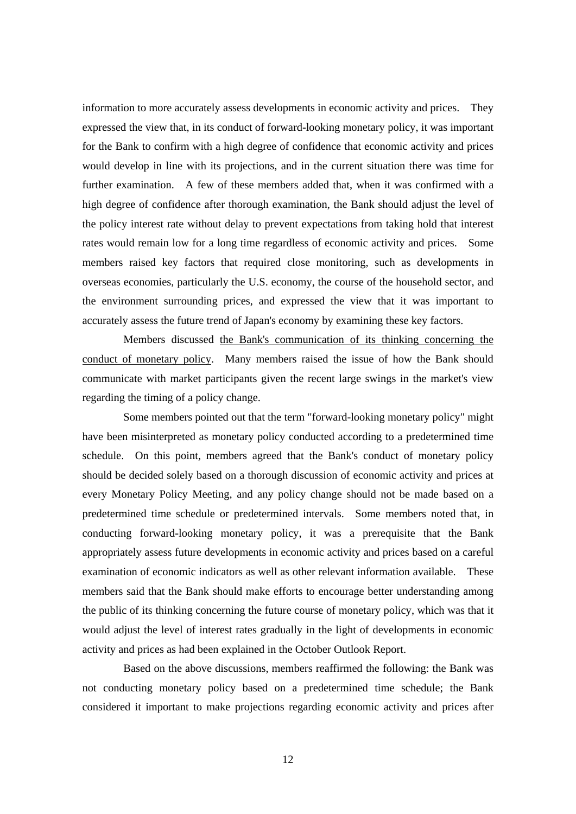information to more accurately assess developments in economic activity and prices. They expressed the view that, in its conduct of forward-looking monetary policy, it was important for the Bank to confirm with a high degree of confidence that economic activity and prices would develop in line with its projections, and in the current situation there was time for further examination. A few of these members added that, when it was confirmed with a high degree of confidence after thorough examination, the Bank should adjust the level of the policy interest rate without delay to prevent expectations from taking hold that interest rates would remain low for a long time regardless of economic activity and prices. Some members raised key factors that required close monitoring, such as developments in overseas economies, particularly the U.S. economy, the course of the household sector, and the environment surrounding prices, and expressed the view that it was important to accurately assess the future trend of Japan's economy by examining these key factors.

Members discussed the Bank's communication of its thinking concerning the conduct of monetary policy. Many members raised the issue of how the Bank should communicate with market participants given the recent large swings in the market's view regarding the timing of a policy change.

Some members pointed out that the term "forward-looking monetary policy" might have been misinterpreted as monetary policy conducted according to a predetermined time schedule. On this point, members agreed that the Bank's conduct of monetary policy should be decided solely based on a thorough discussion of economic activity and prices at every Monetary Policy Meeting, and any policy change should not be made based on a predetermined time schedule or predetermined intervals. Some members noted that, in conducting forward-looking monetary policy, it was a prerequisite that the Bank appropriately assess future developments in economic activity and prices based on a careful examination of economic indicators as well as other relevant information available. These members said that the Bank should make efforts to encourage better understanding among the public of its thinking concerning the future course of monetary policy, which was that it would adjust the level of interest rates gradually in the light of developments in economic activity and prices as had been explained in the October Outlook Report.

Based on the above discussions, members reaffirmed the following: the Bank was not conducting monetary policy based on a predetermined time schedule; the Bank considered it important to make projections regarding economic activity and prices after

12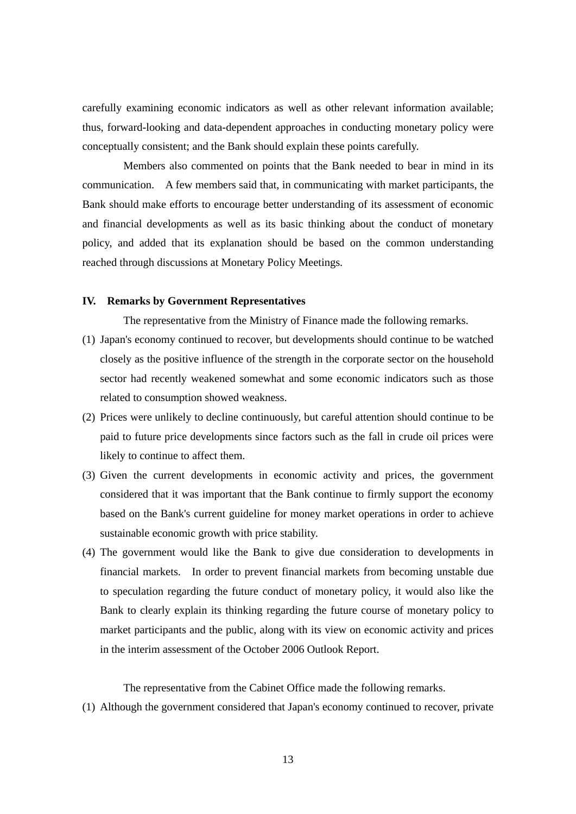carefully examining economic indicators as well as other relevant information available; thus, forward-looking and data-dependent approaches in conducting monetary policy were conceptually consistent; and the Bank should explain these points carefully.

Members also commented on points that the Bank needed to bear in mind in its communication. A few members said that, in communicating with market participants, the Bank should make efforts to encourage better understanding of its assessment of economic and financial developments as well as its basic thinking about the conduct of monetary policy, and added that its explanation should be based on the common understanding reached through discussions at Monetary Policy Meetings.

# **IV. Remarks by Government Representatives**

The representative from the Ministry of Finance made the following remarks.

- (1) Japan's economy continued to recover, but developments should continue to be watched closely as the positive influence of the strength in the corporate sector on the household sector had recently weakened somewhat and some economic indicators such as those related to consumption showed weakness.
- (2) Prices were unlikely to decline continuously, but careful attention should continue to be paid to future price developments since factors such as the fall in crude oil prices were likely to continue to affect them.
- (3) Given the current developments in economic activity and prices, the government considered that it was important that the Bank continue to firmly support the economy based on the Bank's current guideline for money market operations in order to achieve sustainable economic growth with price stability.
- (4) The government would like the Bank to give due consideration to developments in financial markets. In order to prevent financial markets from becoming unstable due to speculation regarding the future conduct of monetary policy, it would also like the Bank to clearly explain its thinking regarding the future course of monetary policy to market participants and the public, along with its view on economic activity and prices in the interim assessment of the October 2006 Outlook Report.

The representative from the Cabinet Office made the following remarks.

(1) Although the government considered that Japan's economy continued to recover, private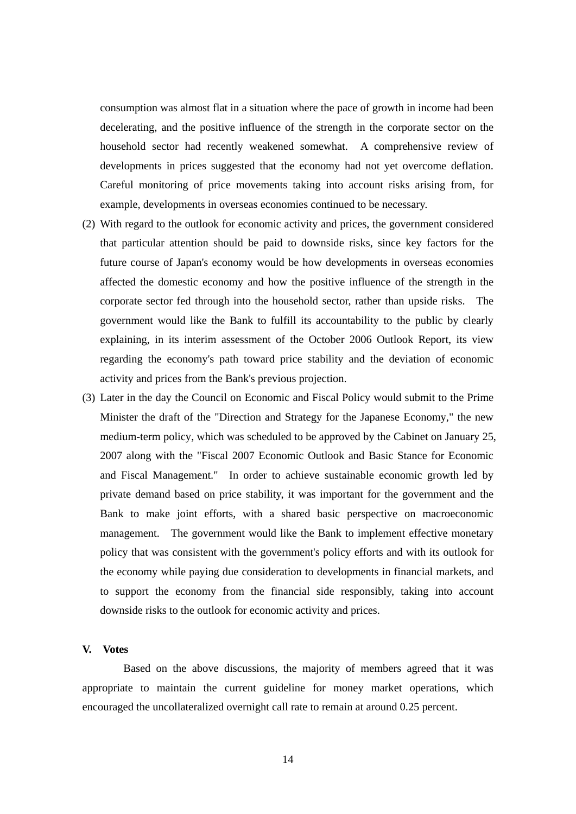consumption was almost flat in a situation where the pace of growth in income had been decelerating, and the positive influence of the strength in the corporate sector on the household sector had recently weakened somewhat. A comprehensive review of developments in prices suggested that the economy had not yet overcome deflation. Careful monitoring of price movements taking into account risks arising from, for example, developments in overseas economies continued to be necessary.

- (2) With regard to the outlook for economic activity and prices, the government considered that particular attention should be paid to downside risks, since key factors for the future course of Japan's economy would be how developments in overseas economies affected the domestic economy and how the positive influence of the strength in the corporate sector fed through into the household sector, rather than upside risks. The government would like the Bank to fulfill its accountability to the public by clearly explaining, in its interim assessment of the October 2006 Outlook Report, its view regarding the economy's path toward price stability and the deviation of economic activity and prices from the Bank's previous projection.
- (3) Later in the day the Council on Economic and Fiscal Policy would submit to the Prime Minister the draft of the "Direction and Strategy for the Japanese Economy," the new medium-term policy, which was scheduled to be approved by the Cabinet on January 25, 2007 along with the "Fiscal 2007 Economic Outlook and Basic Stance for Economic and Fiscal Management." In order to achieve sustainable economic growth led by private demand based on price stability, it was important for the government and the Bank to make joint efforts, with a shared basic perspective on macroeconomic management. The government would like the Bank to implement effective monetary policy that was consistent with the government's policy efforts and with its outlook for the economy while paying due consideration to developments in financial markets, and to support the economy from the financial side responsibly, taking into account downside risks to the outlook for economic activity and prices.

## **V. Votes**

Based on the above discussions, the majority of members agreed that it was appropriate to maintain the current guideline for money market operations, which encouraged the uncollateralized overnight call rate to remain at around 0.25 percent.

14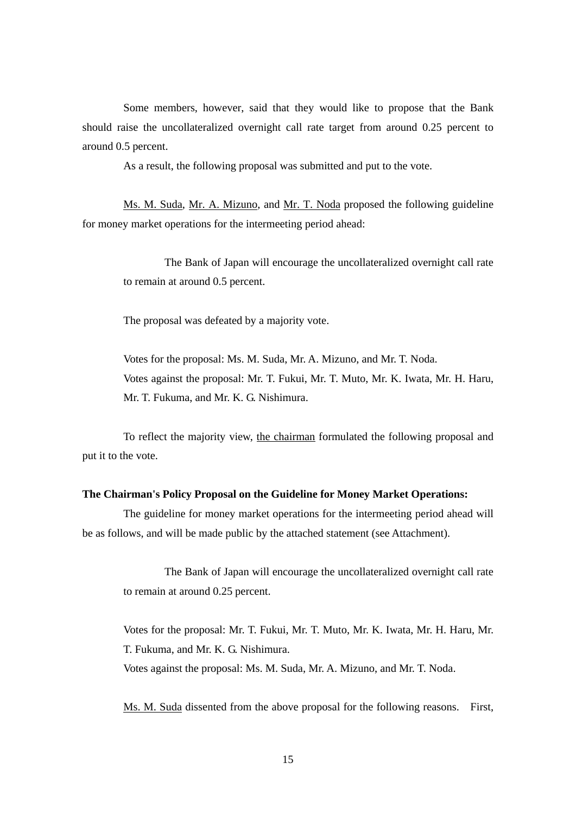Some members, however, said that they would like to propose that the Bank should raise the uncollateralized overnight call rate target from around 0.25 percent to around 0.5 percent.

As a result, the following proposal was submitted and put to the vote.

Ms. M. Suda, Mr. A. Mizuno, and Mr. T. Noda proposed the following guideline for money market operations for the intermeeting period ahead:

The Bank of Japan will encourage the uncollateralized overnight call rate to remain at around 0.5 percent.

The proposal was defeated by a majority vote.

Votes for the proposal: Ms. M. Suda, Mr. A. Mizuno, and Mr. T. Noda. Votes against the proposal: Mr. T. Fukui, Mr. T. Muto, Mr. K. Iwata, Mr. H. Haru, Mr. T. Fukuma, and Mr. K. G. Nishimura.

To reflect the majority view, the chairman formulated the following proposal and put it to the vote.

## **The Chairman's Policy Proposal on the Guideline for Money Market Operations:**

The guideline for money market operations for the intermeeting period ahead will be as follows, and will be made public by the attached statement (see Attachment).

The Bank of Japan will encourage the uncollateralized overnight call rate to remain at around 0.25 percent.

Votes for the proposal: Mr. T. Fukui, Mr. T. Muto, Mr. K. Iwata, Mr. H. Haru, Mr. T. Fukuma, and Mr. K. G. Nishimura.

Votes against the proposal: Ms. M. Suda, Mr. A. Mizuno, and Mr. T. Noda.

Ms. M. Suda dissented from the above proposal for the following reasons. First,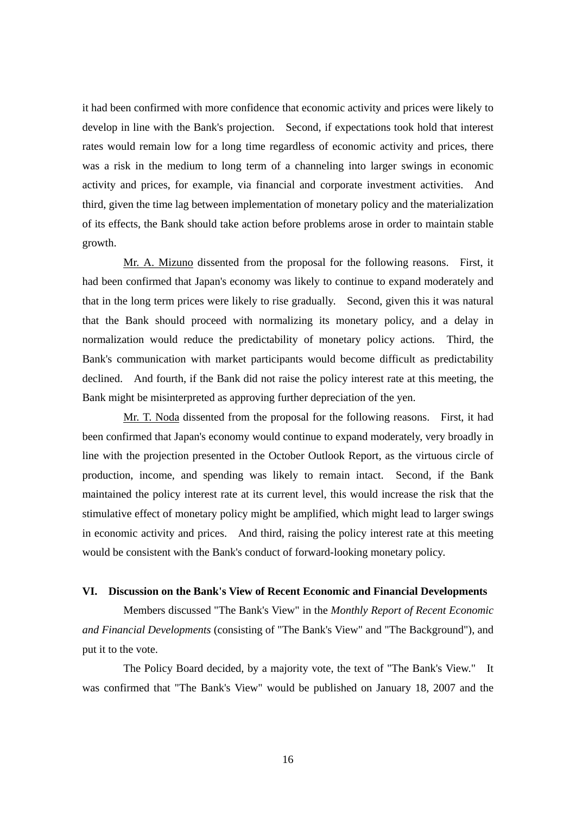it had been confirmed with more confidence that economic activity and prices were likely to develop in line with the Bank's projection. Second, if expectations took hold that interest rates would remain low for a long time regardless of economic activity and prices, there was a risk in the medium to long term of a channeling into larger swings in economic activity and prices, for example, via financial and corporate investment activities. And third, given the time lag between implementation of monetary policy and the materialization of its effects, the Bank should take action before problems arose in order to maintain stable growth.

Mr. A. Mizuno dissented from the proposal for the following reasons. First, it had been confirmed that Japan's economy was likely to continue to expand moderately and that in the long term prices were likely to rise gradually. Second, given this it was natural that the Bank should proceed with normalizing its monetary policy, and a delay in normalization would reduce the predictability of monetary policy actions. Third, the Bank's communication with market participants would become difficult as predictability declined. And fourth, if the Bank did not raise the policy interest rate at this meeting, the Bank might be misinterpreted as approving further depreciation of the yen.

Mr. T. Noda dissented from the proposal for the following reasons. First, it had been confirmed that Japan's economy would continue to expand moderately, very broadly in line with the projection presented in the October Outlook Report, as the virtuous circle of production, income, and spending was likely to remain intact. Second, if the Bank maintained the policy interest rate at its current level, this would increase the risk that the stimulative effect of monetary policy might be amplified, which might lead to larger swings in economic activity and prices. And third, raising the policy interest rate at this meeting would be consistent with the Bank's conduct of forward-looking monetary policy.

# **VI. Discussion on the Bank's View of Recent Economic and Financial Developments**

Members discussed "The Bank's View" in the *Monthly Report of Recent Economic and Financial Developments* (consisting of "The Bank's View" and "The Background"), and put it to the vote.

The Policy Board decided, by a majority vote, the text of "The Bank's View." It was confirmed that "The Bank's View" would be published on January 18, 2007 and the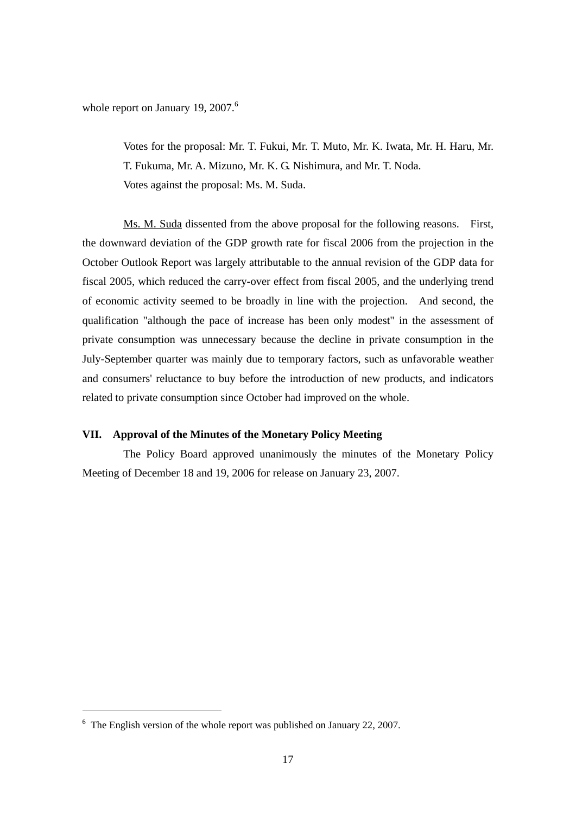whole report on January 19, 2007.<sup>6</sup>

Votes for the proposal: Mr. T. Fukui, Mr. T. Muto, Mr. K. Iwata, Mr. H. Haru, Mr. T. Fukuma, Mr. A. Mizuno, Mr. K. G. Nishimura, and Mr. T. Noda. Votes against the proposal: Ms. M. Suda.

Ms. M. Suda dissented from the above proposal for the following reasons. First, the downward deviation of the GDP growth rate for fiscal 2006 from the projection in the October Outlook Report was largely attributable to the annual revision of the GDP data for fiscal 2005, which reduced the carry-over effect from fiscal 2005, and the underlying trend of economic activity seemed to be broadly in line with the projection. And second, the qualification "although the pace of increase has been only modest" in the assessment of private consumption was unnecessary because the decline in private consumption in the July-September quarter was mainly due to temporary factors, such as unfavorable weather and consumers' reluctance to buy before the introduction of new products, and indicators related to private consumption since October had improved on the whole.

# **VII. Approval of the Minutes of the Monetary Policy Meeting**

The Policy Board approved unanimously the minutes of the Monetary Policy Meeting of December 18 and 19, 2006 for release on January 23, 2007.

-

<sup>&</sup>lt;sup>6</sup> The English version of the whole report was published on January 22, 2007.